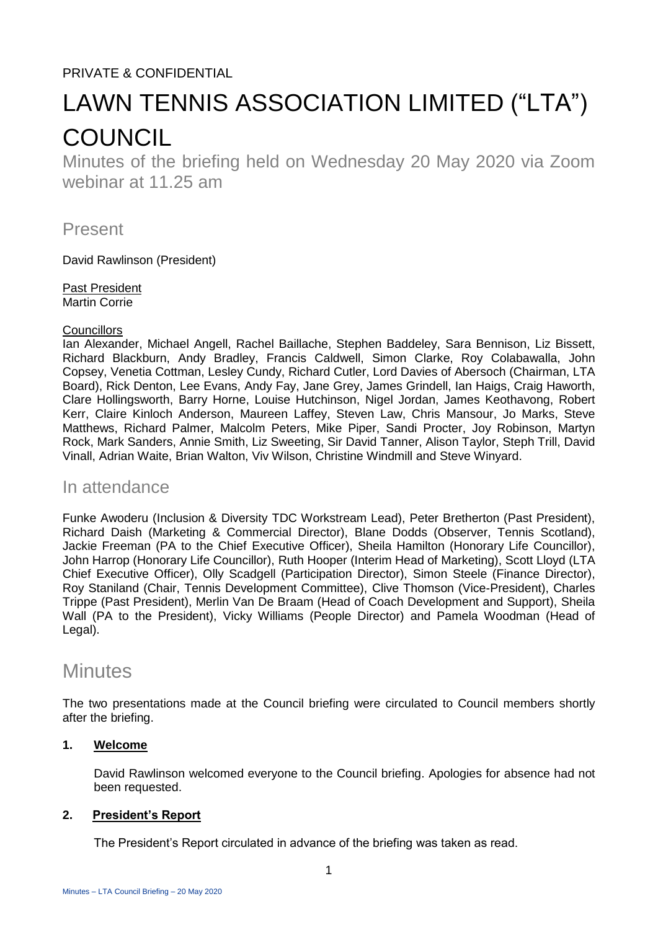### PRIVATE & CONFIDENTIAL

# LAWN TENNIS ASSOCIATION LIMITED ("LTA") **COUNCIL**

Minutes of the briefing held on Wednesday 20 May 2020 via Zoom webinar at 11.25 am

Present

David Rawlinson (President)

Past President Martin Corrie

#### **Councillors**

Ian Alexander, Michael Angell, Rachel Baillache, Stephen Baddeley, Sara Bennison, Liz Bissett, Richard Blackburn, Andy Bradley, Francis Caldwell, Simon Clarke, Roy Colabawalla, John Copsey, Venetia Cottman, Lesley Cundy, Richard Cutler, Lord Davies of Abersoch (Chairman, LTA Board), Rick Denton, Lee Evans, Andy Fay, Jane Grey, James Grindell, Ian Haigs, Craig Haworth, Clare Hollingsworth, Barry Horne, Louise Hutchinson, Nigel Jordan, James Keothavong, Robert Kerr, Claire Kinloch Anderson, Maureen Laffey, Steven Law, Chris Mansour, Jo Marks, Steve Matthews, Richard Palmer, Malcolm Peters, Mike Piper, Sandi Procter, Joy Robinson, Martyn Rock, Mark Sanders, Annie Smith, Liz Sweeting, Sir David Tanner, Alison Taylor, Steph Trill, David Vinall, Adrian Waite, Brian Walton, Viv Wilson, Christine Windmill and Steve Winyard.

#### In attendance

Funke Awoderu (Inclusion & Diversity TDC Workstream Lead), Peter Bretherton (Past President), Richard Daish (Marketing & Commercial Director), Blane Dodds (Observer, Tennis Scotland), Jackie Freeman (PA to the Chief Executive Officer), Sheila Hamilton (Honorary Life Councillor), John Harrop (Honorary Life Councillor), Ruth Hooper (Interim Head of Marketing), Scott Lloyd (LTA Chief Executive Officer), Olly Scadgell (Participation Director), Simon Steele (Finance Director), Roy Staniland (Chair, Tennis Development Committee), Clive Thomson (Vice-President), Charles Trippe (Past President), Merlin Van De Braam (Head of Coach Development and Support), Sheila Wall (PA to the President), Vicky Williams (People Director) and Pamela Woodman (Head of Legal).

## **Minutes**

The two presentations made at the Council briefing were circulated to Council members shortly after the briefing.

#### **1. Welcome**

David Rawlinson welcomed everyone to the Council briefing. Apologies for absence had not been requested.

#### **2. President's Report**

The President's Report circulated in advance of the briefing was taken as read.